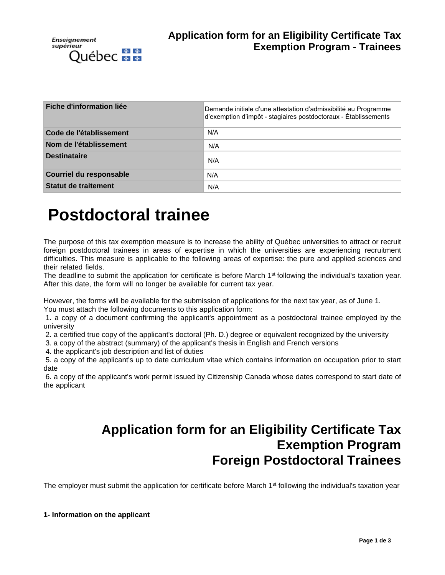

| Fiche d'information liée       | Demande initiale d'une attestation d'admissibilité au Programme<br>d'exemption d'impôt - stagiaires postdoctoraux - Établissements |
|--------------------------------|------------------------------------------------------------------------------------------------------------------------------------|
| Code de l'établissement        | N/A                                                                                                                                |
| Nom de l'établissement         | N/A                                                                                                                                |
| <b>Destinataire</b>            | N/A                                                                                                                                |
| <b>Courriel du responsable</b> | N/A                                                                                                                                |
| Statut de traitement           | N/A                                                                                                                                |

# **Postdoctoral trainee**

The purpose of this tax exemption measure is to increase the ability of Québec universities to attract or recruit foreign postdoctoral trainees in areas of expertise in which the universities are experiencing recruitment difficulties. This measure is applicable to the following areas of expertise: the pure and applied sciences and their related fields.

The deadline to submit the application for certificate is before March 1<sup>st</sup> following the individual's taxation year. After this date, the form will no longer be available for current tax year.

However, the forms will be available for the submission of applications for the next tax year, as of June 1.

You must attach the following documents to this application form:

1. a copy of a document confirming the applicant's appointment as a postdoctoral trainee employed by the university

2. a certified true copy of the applicant's doctoral (Ph. D.) degree or equivalent recognized by the university

3. a copy of the abstract (summary) of the applicant's thesis in English and French versions

4. the applicant's job description and list of duties

5. a copy of the applicant's up to date curriculum vitae which contains information on occupation prior to start date

6. a copy of the applicant's work permit issued by Citizenship Canada whose dates correspond to start date of the applicant

# **Application form for an Eligibility Certificate Tax Exemption Program Foreign Postdoctoral Trainees**

The employer must submit the application for certificate before March 1<sup>st</sup> following the individual's taxation year

**1- Information on the applicant**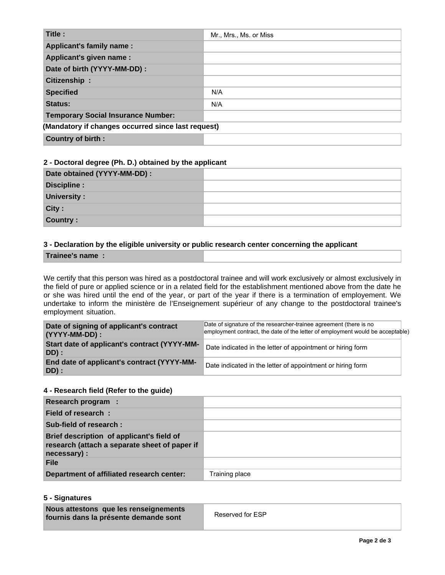| Title:                                             | Mr., Mrs., Ms. or Miss |
|----------------------------------------------------|------------------------|
| <b>Applicant's family name:</b>                    |                        |
| Applicant's given name :                           |                        |
| Date of birth (YYYY-MM-DD) :                       |                        |
| Citizenship:                                       |                        |
| <b>Specified</b>                                   | N/A                    |
| Status:                                            | N/A                    |
| <b>Temporary Social Insurance Number:</b>          |                        |
| (Mandatory if changes occurred since last request) |                        |
| <b>Country of birth:</b>                           |                        |

### **2 - Doctoral degree (Ph. D.) obtained by the applicant**

| Date obtained (YYYY-MM-DD) : |  |
|------------------------------|--|
| Discipline :                 |  |
| <b>University:</b>           |  |
| City:                        |  |
| Country:                     |  |

## **3 - Declaration by the eligible university or public research center concerning the applicant**

**Trainee's name :**

We certify that this person was hired as a postdoctoral trainee and will work exclusively or almost exclusively in the field of pure or applied science or in a related field for the establishment mentioned above from the date he or she was hired until the end of the year, or part of the year if there is a termination of employement. We undertake to inform the ministère de l'Enseignement supérieur of any change to the postdoctoral trainee's employment situation.

| Date of signing of applicant's contract<br>(YYYY-MM-DD): | Date of signature of the researcher-trainee agreement (there is no<br>employment contract, the date of the letter of employment would be acceptable) |
|----------------------------------------------------------|------------------------------------------------------------------------------------------------------------------------------------------------------|
| Start date of applicant's contract (YYYY-MM-<br>DD) :    | Date indicated in the letter of appointment or hiring form                                                                                           |
| End date of applicant's contract (YYYY-MM-<br>DD):       | Date indicated in the letter of appointment or hiring form                                                                                           |

#### **4 - Research field (Refer to the guide)**

| Research program :                                                                                         |                |
|------------------------------------------------------------------------------------------------------------|----------------|
| Field of research:                                                                                         |                |
| Sub-field of research:                                                                                     |                |
| Brief description of applicant's field of<br>research (attach a separate sheet of paper if<br>necessary) : |                |
| <b>File</b>                                                                                                |                |
| Department of affiliated research center:                                                                  | Training place |

### **5 - Signatures**

| Nous attestons que les renseignements<br>fournis dans la présente demande sont | Reserved for ESP |
|--------------------------------------------------------------------------------|------------------|
|                                                                                |                  |